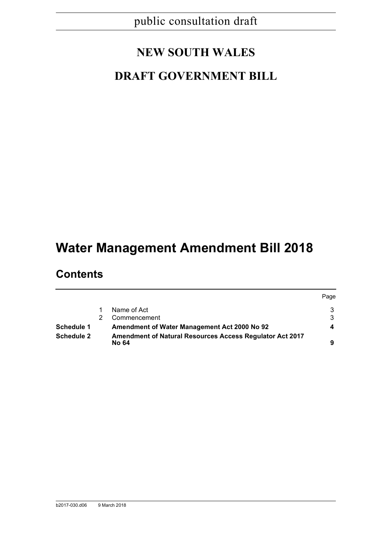# **NEW SOUTH WALES**

# **DRAFT GOVERNMENT BILL**

# **Water Management Amendment Bill 2018**

# **Contents**

|                   |                                                                          | Page |
|-------------------|--------------------------------------------------------------------------|------|
|                   | Name of Act                                                              |      |
|                   | Commencement                                                             | 3    |
| <b>Schedule 1</b> | Amendment of Water Management Act 2000 No 92                             |      |
| <b>Schedule 2</b> | <b>Amendment of Natural Resources Access Regulator Act 2017</b><br>No 64 | a    |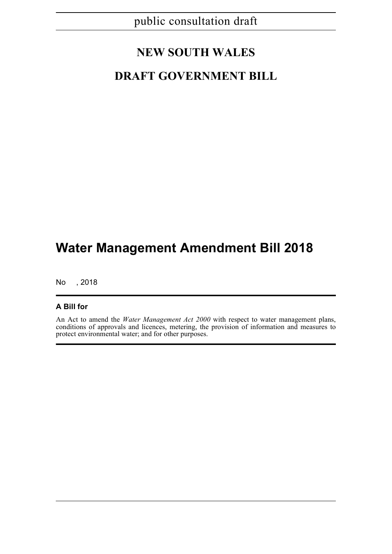# **NEW SOUTH WALES**

## **DRAFT GOVERNMENT BILL**

# **Water Management Amendment Bill 2018**

No , 2018

## **A Bill for**

An Act to amend the *Water Management Act 2000* with respect to water management plans, conditions of approvals and licences, metering, the provision of information and measures to protect environmental water; and for other purposes.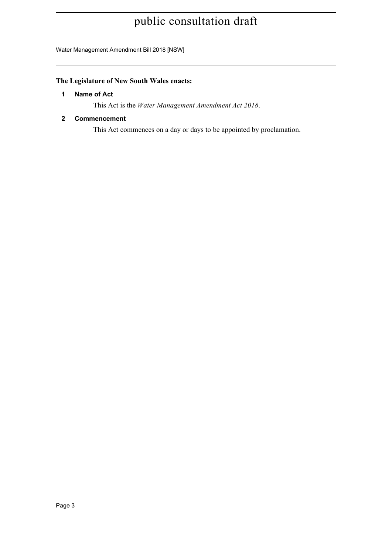Water Management Amendment Bill 2018 [NSW]

## <span id="page-2-0"></span>**The Legislature of New South Wales enacts:**

## **1 Name of Act**

This Act is the *Water Management Amendment Act 2018*.

## <span id="page-2-1"></span>**2 Commencement**

This Act commences on a day or days to be appointed by proclamation.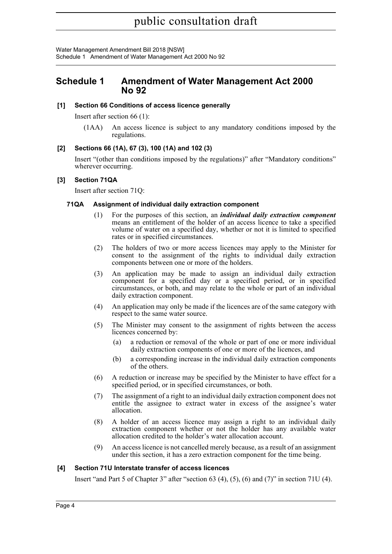Water Management Amendment Bill 2018 [NSW] Schedule 1 Amendment of Water Management Act 2000 No 92

## <span id="page-3-0"></span>**Schedule 1 Amendment of Water Management Act 2000 No 92**

## **[1] Section 66 Conditions of access licence generally**

Insert after section 66 (1):

(1AA) An access licence is subject to any mandatory conditions imposed by the regulations.

## **[2] Sections 66 (1A), 67 (3), 100 (1A) and 102 (3)**

Insert "(other than conditions imposed by the regulations)" after "Mandatory conditions" wherever occurring.

## **[3] Section 71QA**

Insert after section 71Q:

## **71QA Assignment of individual daily extraction component**

- (1) For the purposes of this section, an *individual daily extraction component* means an entitlement of the holder of an access licence to take a specified volume of water on a specified day, whether or not it is limited to specified rates or in specified circumstances.
- (2) The holders of two or more access licences may apply to the Minister for consent to the assignment of the rights to individual daily extraction components between one or more of the holders.
- (3) An application may be made to assign an individual daily extraction component for a specified day or a specified period, or in specified circumstances, or both, and may relate to the whole or part of an individual daily extraction component.
- (4) An application may only be made if the licences are of the same category with respect to the same water source.
- (5) The Minister may consent to the assignment of rights between the access licences concerned by:
	- (a) a reduction or removal of the whole or part of one or more individual daily extraction components of one or more of the licences, and
	- (b) a corresponding increase in the individual daily extraction components of the others.
- (6) A reduction or increase may be specified by the Minister to have effect for a specified period, or in specified circumstances, or both.
- (7) The assignment of a right to an individual daily extraction component does not entitle the assignee to extract water in excess of the assignee's water allocation.
- (8) A holder of an access licence may assign a right to an individual daily extraction component whether or not the holder has any available water allocation credited to the holder's water allocation account.
- (9) An access licence is not cancelled merely because, as a result of an assignment under this section, it has a zero extraction component for the time being.

## **[4] Section 71U Interstate transfer of access licences**

Insert "and Part 5 of Chapter 3" after "section 63 (4), (5), (6) and (7)" in section 71U (4).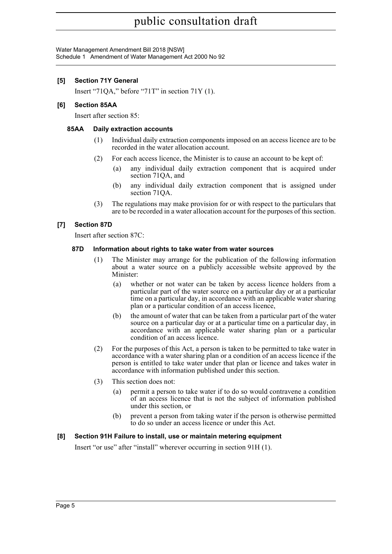Water Management Amendment Bill 2018 [NSW] Schedule 1 Amendment of Water Management Act 2000 No 92

## **[5] Section 71Y General**

Insert "71QA," before "71T" in section 71Y (1).

## **[6] Section 85AA**

Insert after section 85:

## **85AA Daily extraction accounts**

- (1) Individual daily extraction components imposed on an access licence are to be recorded in the water allocation account.
- (2) For each access licence, the Minister is to cause an account to be kept of:
	- (a) any individual daily extraction component that is acquired under section 71QA, and
	- (b) any individual daily extraction component that is assigned under section 71QA.
- (3) The regulations may make provision for or with respect to the particulars that are to be recorded in a water allocation account for the purposes of this section.

## **[7] Section 87D**

Insert after section 87C:

#### **87D Information about rights to take water from water sources**

- (1) The Minister may arrange for the publication of the following information about a water source on a publicly accessible website approved by the Minister:
	- (a) whether or not water can be taken by access licence holders from a particular part of the water source on a particular day or at a particular time on a particular day, in accordance with an applicable water sharing plan or a particular condition of an access licence,
	- (b) the amount of water that can be taken from a particular part of the water source on a particular day or at a particular time on a particular day, in accordance with an applicable water sharing plan or a particular condition of an access licence.
- (2) For the purposes of this Act, a person is taken to be permitted to take water in accordance with a water sharing plan or a condition of an access licence if the person is entitled to take water under that plan or licence and takes water in accordance with information published under this section.
- (3) This section does not:
	- (a) permit a person to take water if to do so would contravene a condition of an access licence that is not the subject of information published under this section, or
	- (b) prevent a person from taking water if the person is otherwise permitted to do so under an access licence or under this Act.

## **[8] Section 91H Failure to install, use or maintain metering equipment**

Insert "or use" after "install" wherever occurring in section 91H (1).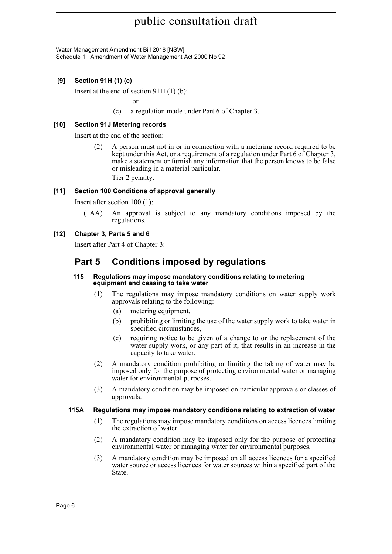Water Management Amendment Bill 2018 [NSW] Schedule 1 Amendment of Water Management Act 2000 No 92

## **[9] Section 91H (1) (c)**

Insert at the end of section 91H (1) (b):

or

(c) a regulation made under Part 6 of Chapter 3,

## **[10] Section 91J Metering records**

Insert at the end of the section:

(2) A person must not in or in connection with a metering record required to be kept under this Act, or a requirement of a regulation under Part 6 of Chapter 3, make a statement or furnish any information that the person knows to be false or misleading in a material particular.

Tier 2 penalty.

#### **[11] Section 100 Conditions of approval generally**

Insert after section 100 (1):

(1AA) An approval is subject to any mandatory conditions imposed by the regulations.

## **[12] Chapter 3, Parts 5 and 6**

Insert after Part 4 of Chapter 3:

## **Part 5 Conditions imposed by regulations**

#### **115 Regulations may impose mandatory conditions relating to metering equipment and ceasing to take water**

- (1) The regulations may impose mandatory conditions on water supply work approvals relating to the following:
	- (a) metering equipment,
	- (b) prohibiting or limiting the use of the water supply work to take water in specified circumstances,
	- (c) requiring notice to be given of a change to or the replacement of the water supply work, or any part of it, that results in an increase in the capacity to take water.
- (2) A mandatory condition prohibiting or limiting the taking of water may be imposed only for the purpose of protecting environmental water or managing water for environmental purposes.
- (3) A mandatory condition may be imposed on particular approvals or classes of approvals.

## **115A Regulations may impose mandatory conditions relating to extraction of water**

- (1) The regulations may impose mandatory conditions on access licences limiting the extraction of water.
- (2) A mandatory condition may be imposed only for the purpose of protecting environmental water or managing water for environmental purposes.
- (3) A mandatory condition may be imposed on all access licences for a specified water source or access licences for water sources within a specified part of the State.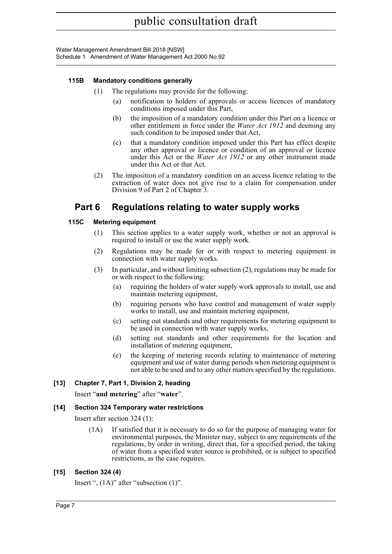Water Management Amendment Bill 2018 [NSW] Schedule 1 Amendment of Water Management Act 2000 No 92

## **115B Mandatory conditions generally**

- (1) The regulations may provide for the following:
	- (a) notification to holders of approvals or access licences of mandatory conditions imposed under this Part,
	- (b) the imposition of a mandatory condition under this Part on a licence or other entitlement in force under the *Water Act 1912* and deeming any such condition to be imposed under that Act,
	- (c) that a mandatory condition imposed under this Part has effect despite any other approval or licence or condition of an approval or licence under this Act or the *Water Act 1912* or any other instrument made under this Act or that Act.
- (2) The imposition of a mandatory condition on an access licence relating to the extraction of water does not give rise to a claim for compensation under Division 9 of Part 2 of Chapter 3.

## **Part 6 Regulations relating to water supply works**

## **115C Metering equipment**

- (1) This section applies to a water supply work, whether or not an approval is required to install or use the water supply work.
- (2) Regulations may be made for or with respect to metering equipment in connection with water supply works.
- (3) In particular, and without limiting subsection (2), regulations may be made for or with respect to the following:
	- (a) requiring the holders of water supply work approvals to install, use and maintain metering equipment,
	- (b) requiring persons who have control and management of water supply works to install, use and maintain metering equipment,
	- (c) setting out standards and other requirements for metering equipment to be used in connection with water supply works,
	- (d) setting out standards and other requirements for the location and installation of metering equipment,
	- (e) the keeping of metering records relating to maintenance of metering equipment and use of water during periods when metering equipment is not able to be used and to any other matters specified by the regulations.

## **[13] Chapter 7, Part 1, Division 2, heading**

Insert "**and metering**" after "**water**".

## **[14] Section 324 Temporary water restrictions**

Insert after section 324 (1):

(1A) If satisfied that it is necessary to do so for the purpose of managing water for environmental purposes, the Minister may, subject to any requirements of the regulations, by order in writing, direct that, for a specified period, the taking of water from a specified water source is prohibited, or is subject to specified restrictions, as the case requires.

## **[15] Section 324 (4)**

Insert ", (1A)" after "subsection (1)".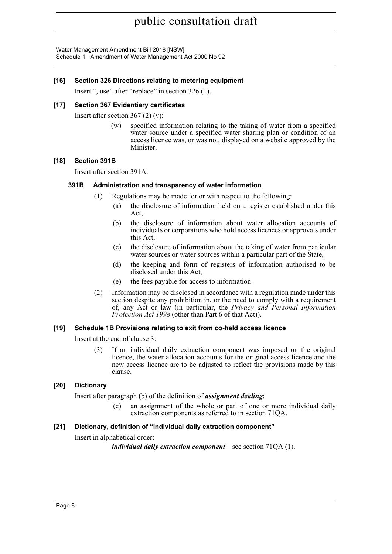Water Management Amendment Bill 2018 [NSW] Schedule 1 Amendment of Water Management Act 2000 No 92

## **[16] Section 326 Directions relating to metering equipment**

Insert ", use" after "replace" in section 326 (1).

## **[17] Section 367 Evidentiary certificates**

Insert after section 367 (2) (v):

(w) specified information relating to the taking of water from a specified water source under a specified water sharing plan or condition of an access licence was, or was not, displayed on a website approved by the Minister,

## **[18] Section 391B**

Insert after section 391A:

## **391B Administration and transparency of water information**

- (1) Regulations may be made for or with respect to the following:
	- (a) the disclosure of information held on a register established under this Act,
	- (b) the disclosure of information about water allocation accounts of individuals or corporations who hold access licences or approvals under this Act,
	- (c) the disclosure of information about the taking of water from particular water sources or water sources within a particular part of the State,
	- (d) the keeping and form of registers of information authorised to be disclosed under this Act,
	- (e) the fees payable for access to information.
- (2) Information may be disclosed in accordance with a regulation made under this section despite any prohibition in, or the need to comply with a requirement of, any Act or law (in particular, the *Privacy and Personal Information Protection Act 1998* (other than Part 6 of that Act)).

## **[19] Schedule 1B Provisions relating to exit from co-held access licence**

Insert at the end of clause 3:

(3) If an individual daily extraction component was imposed on the original licence, the water allocation accounts for the original access licence and the new access licence are to be adjusted to reflect the provisions made by this clause.

## **[20] Dictionary**

Insert after paragraph (b) of the definition of *assignment dealing*:

(c) an assignment of the whole or part of one or more individual daily extraction components as referred to in section 71QA.

## **[21] Dictionary, definition of "individual daily extraction component"**

Insert in alphabetical order:

*individual daily extraction component*—see section 71QA (1).